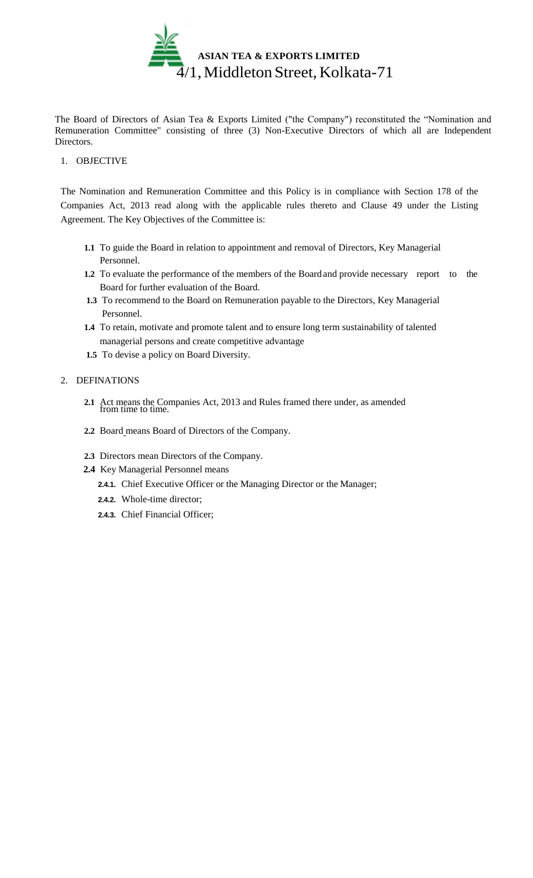

The Board of Directors of Asian Tea & Exports Limited ("the Company") reconstituted the "Nomination and Remuneration Committee" consisting of three (3) Non-Executive Directors of which all are Independent Directors.

1. OBJECTIVE

The Nomination and Remuneration Committee and this Policy is in compliance with Section 178 of the Companies Act, 2013 read along with the applicable rules thereto and Clause 49 under the Listing Agreement. The Key Objectives of the Committee is:

- **1.1** To guide the Board in relation to appointment and removal of Directors, Key Managerial Personnel.
- **1.2** To evaluate the performance of the members of the Board and provide necessary report to the Board for further evaluation of the Board.
- **1.3** To recommend to the Board on Remuneration payable to the Directors, Key Managerial Personnel.
- **1.4** To retain, motivate and promote talent and to ensure long term sustainability of talented managerial persons and create competitive advantage
- **1.5** To devise a policy on Board Diversity.
- 2. DEFINATIONS
	- **2.1** Act means the Companies Act, 2013 and Rules framed there under, as amended from time to time.
	- **2.2** Board means Board of Directors of the Company.
	- **2.3** Directors mean Directors of the Company.
	- **2.4** Key Managerial Personnel means
		- **2.4.1.** Chief Executive Officer or the Managing Director or the Manager;
		- **2.4.2.** Whole-time director;
		- **2.4.3.** Chief Financial Officer;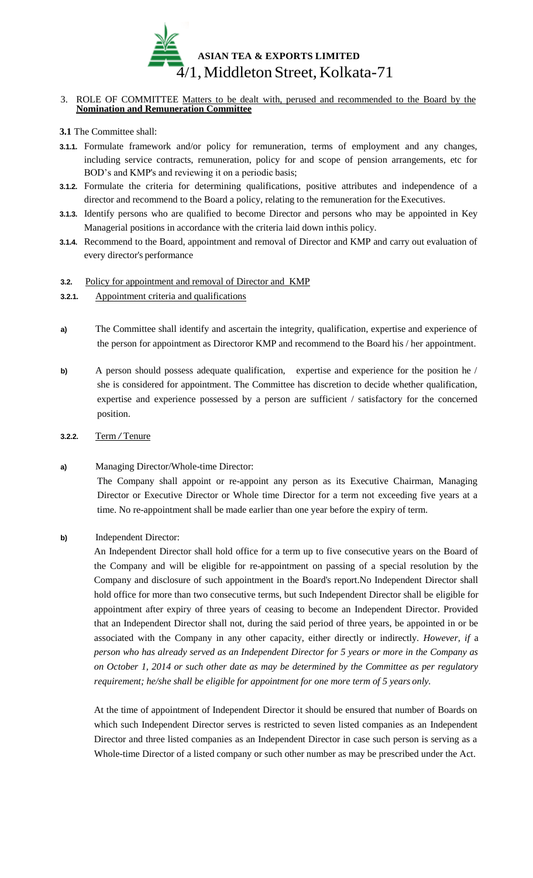

### 3. ROLE OF COMMITTEE Matters to be dealt with, perused and recommended to the Board by the **Nomination and Remuneration Committee**

### **3.1** The Committee shall:

- **3.1.1.** Formulate framework and/or policy for remuneration, terms of employment and any changes, including service contracts, remuneration, policy for and scope of pension arrangements, etc for BOD's and KMP's and reviewing it on a periodic basis;
- **3.1.2.** Formulate the criteria for determining qualifications, positive attributes and independence of a director and recommend to the Board a policy, relating to the remuneration for the Executives.
- **3.1.3.** Identify persons who are qualified to become Director and persons who may be appointed in Key Managerial positions in accordance with the criteria laid down inthis policy.
- **3.1.4.** Recommend to the Board, appointment and removal of Director and KMP and carry out evaluation of every director's performance
- **3.2.** Policy for appointment and removal of Director and KMP
- **3.2.1.** Appointment criteria and qualifications
- **a)** The Committee shall identify and ascertain the integrity, qualification, expertise and experience of the person for appointment as Directoror KMP and recommend to the Board his / her appointment.
- **b)** A person should possess adequate qualification, expertise and experience for the position he / she is considered for appointment. The Committee has discretion to decide whether qualification, expertise and experience possessed by a person are sufficient / satisfactory for the concerned position.
- **3.2.2.** Term */* Tenure
- **a)** Managing Director/Whole-time Director: The Company shall appoint or re-appoint any person as its Executive Chairman, Managing Director or Executive Director or Whole time Director for a term not exceeding five years at a time. No re-appointment shall be made earlier than one year before the expiry of term.
- **b)** Independent Director:

An Independent Director shall hold office for a term up to five consecutive years on the Board of the Company and will be eligible for re-appointment on passing of a special resolution by the Company and disclosure of such appointment in the Board's report.No Independent Director shall hold office for more than two consecutive terms, but such Independent Director shall be eligible for appointment after expiry of three years of ceasing to become an Independent Director. Provided that an Independent Director shall not, during the said period of three years, be appointed in or be associated with the Company in any other capacity, either directly or indirectly. *However, if* a *person who has already served as an Independent Director for 5 years or more in the Company as on October 1, 2014 or such other date as may be determined by the Committee as per regulatory requirement; he/she shall be eligible for appointment for one more term of 5 years only.*

At the time of appointment of Independent Director it should be ensured that number of Boards on which such Independent Director serves is restricted to seven listed companies as an Independent Director and three listed companies as an Independent Director in case such person is serving as a Whole-time Director of a listed company or such other number as may be prescribed under the Act.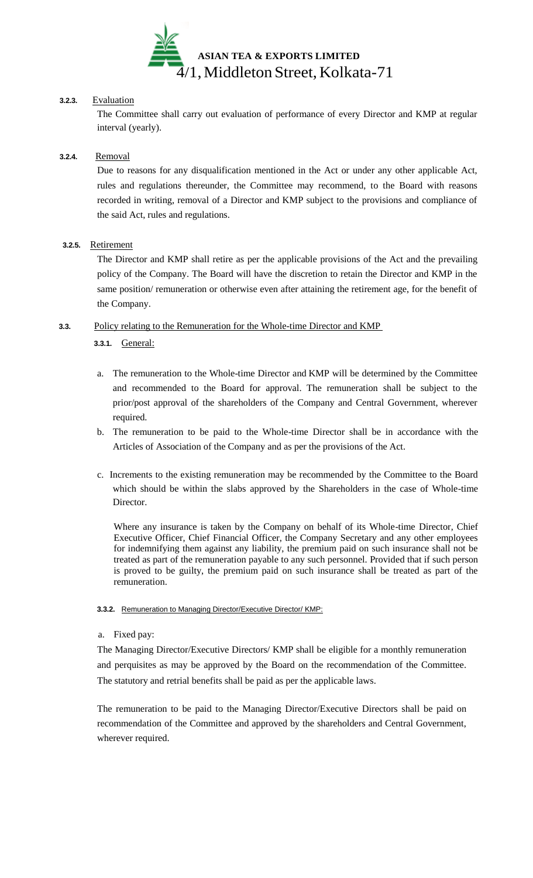

# **3.2.3.** Evaluation

The Committee shall carry out evaluation of performance of every Director and KMP at regular interval (yearly).

## **3.2.4.** Removal

Due to reasons for any disqualification mentioned in the Act or under any other applicable Act, rules and regulations thereunder, the Committee may recommend, to the Board with reasons recorded in writing, removal of a Director and KMP subject to the provisions and compliance of the said Act, rules and regulations.

## **3.2.5.** Retirement

The Director and KMP shall retire as per the applicable provisions of the Act and the prevailing policy of the Company. The Board will have the discretion to retain the Director and KMP in the same position/ remuneration or otherwise even after attaining the retirement age, for the benefit of the Company.

# **3.3.** Policy relating to the Remuneration for the Whole-time Director and KMP

# **3.3.1.** General:

- a. The remuneration to the Whole-time Director and KMP will be determined by the Committee and recommended to the Board for approval. The remuneration shall be subject to the prior/post approval of the shareholders of the Company and Central Government, wherever required.
- b. The remuneration to be paid to the Whole-time Director shall be in accordance with the Articles of Association of the Company and as per the provisions of the Act.
- c. Increments to the existing remuneration may be recommended by the Committee to the Board which should be within the slabs approved by the Shareholders in the case of Whole-time Director.

Where any insurance is taken by the Company on behalf of its Whole-time Director, Chief Executive Officer, Chief Financial Officer, the Company Secretary and any other employees for indemnifying them against any liability, the premium paid on such insurance shall not be treated as part of the remuneration payable to any such personnel. Provided that if such person is proved to be guilty, the premium paid on such insurance shall be treated as part of the remuneration.

## **3.3.2.** Remuneration to Managing Director/Executive Director/ KMP:

## a. Fixed pay:

The Managing Director/Executive Directors/ KMP shall be eligible for a monthly remuneration and perquisites as may be approved by the Board on the recommendation of the Committee. The statutory and retrial benefits shall be paid as per the applicable laws.

The remuneration to be paid to the Managing Director/Executive Directors shall be paid on recommendation of the Committee and approved by the shareholders and Central Government, wherever required.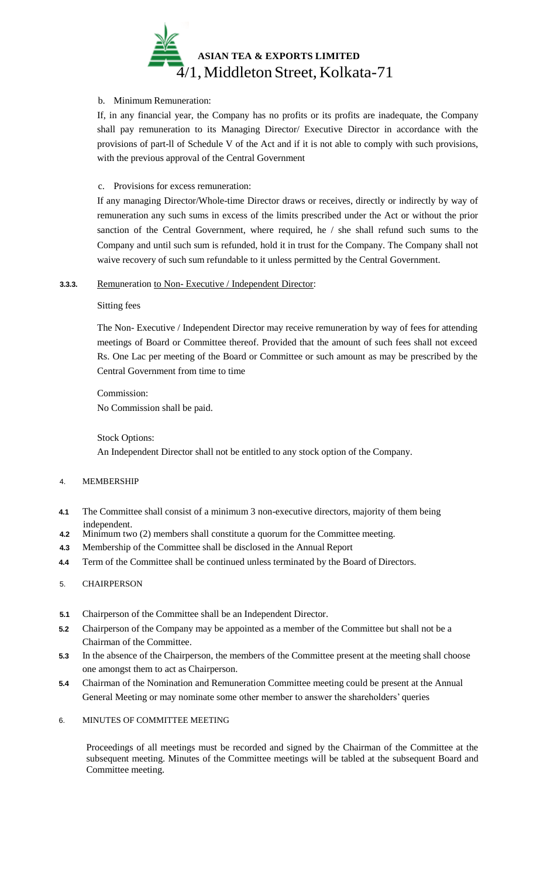# **ASIAN TEA & EXPORTS LIMITED** 4/1, Middleton Street, Kolkata-71

## b. Minimum Remuneration:

If, in any financial year, the Company has no profits or its profits are inadequate, the Company shall pay remuneration to its Managing Director/ Executive Director in accordance with the provisions of part-ll of Schedule V of the Act and if it is not able to comply with such provisions, with the previous approval of the Central Government

### c. Provisions for excess remuneration:

If any managing Director/Whole-time Director draws or receives, directly or indirectly by way of remuneration any such sums in excess of the limits prescribed under the Act or without the prior sanction of the Central Government, where required, he / she shall refund such sums to the Company and until such sum is refunded, hold it in trust for the Company. The Company shall not waive recovery of such sum refundable to it unless permitted by the Central Government.

### **3.3.3.** Remuneration to Non- Executive / Independent Director:

### Sitting fees

The Non- Executive / Independent Director may receive remuneration by way of fees for attending meetings of Board or Committee thereof. Provided that the amount of such fees shall not exceed Rs. One Lac per meeting of the Board or Committee or such amount as may be prescribed by the Central Government from time to time

### Commission:

No Commission shall be paid.

### Stock Options:

An Independent Director shall not be entitled to any stock option of the Company.

### 4. MEMBERSHIP

- **4.1** The Committee shall consist of a minimum 3 non-executive directors, majority of them being independent.
- **4.2** Minimum two (2) members shall constitute a quorum for the Committee meeting.
- **4.3** Membership of the Committee shall be disclosed in the Annual Report
- **4.4** Term of the Committee shall be continued unless terminated by the Board of Directors.

### 5. CHAIRPERSON

- **5.1** Chairperson of the Committee shall be an Independent Director.
- **5.2** Chairperson of the Company may be appointed as a member of the Committee but shall not be a Chairman of the Committee.
- **5.3** In the absence of the Chairperson, the members of the Committee present at the meeting shall choose one amongst them to act as Chairperson.
- **5.4** Chairman of the Nomination and Remuneration Committee meeting could be present at the Annual General Meeting or may nominate some other member to answer the shareholders' queries
- 6. MINUTES OF COMMITTEE MEETING

Proceedings of all meetings must be recorded and signed by the Chairman of the Committee at the subsequent meeting. Minutes of the Committee meetings will be tabled at the subsequent Board and Committee meeting.